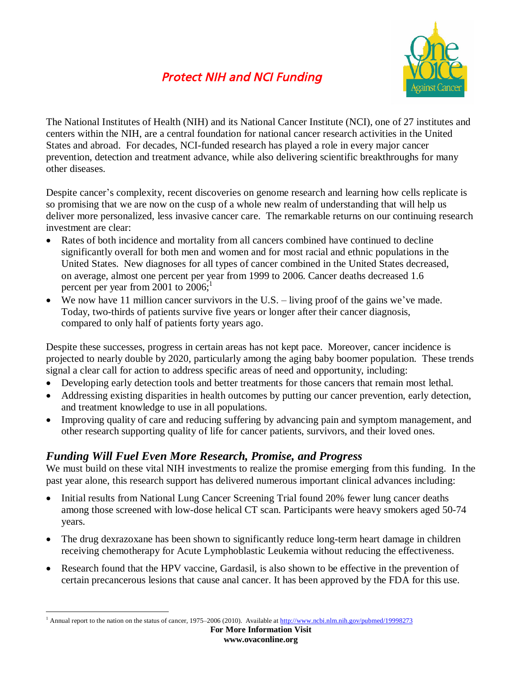## *Protect NIH and NCI Funding*



The National Institutes of Health (NIH) and its National Cancer Institute (NCI), one of 27 institutes and centers within the NIH, are a central foundation for national cancer research activities in the United States and abroad. For decades, NCI-funded research has played a role in every major cancer prevention, detection and treatment advance, while also delivering scientific breakthroughs for many other diseases.

Despite cancer's complexity, recent discoveries on genome research and learning how cells replicate is so promising that we are now on the cusp of a whole new realm of understanding that will help us deliver more personalized, less invasive cancer care. The remarkable returns on our continuing research investment are clear:

- Rates of both incidence and mortality from all cancers combined have continued to decline significantly overall for both men and women and for most racial and ethnic populations in the United States. New diagnoses for all types of cancer combined in the United States decreased, on average, almost one percent per year from 1999 to 2006. Cancer deaths decreased 1.6 percent per year from 2001 to 2006;<sup>1</sup>
- We now have 11 million cancer survivors in the U.S. living proof of the gains we've made. Today, two-thirds of patients survive five years or longer after their cancer diagnosis, compared to only half of patients forty years ago.

Despite these successes, progress in certain areas has not kept pace. Moreover, cancer incidence is projected to nearly double by 2020, particularly among the aging baby boomer population. These trends signal a clear call for action to address specific areas of need and opportunity, including:

- Developing early detection tools and better treatments for those cancers that remain most lethal.
- Addressing existing disparities in health outcomes by putting our cancer prevention, early detection, and treatment knowledge to use in all populations.
- Improving quality of care and reducing suffering by advancing pain and symptom management, and other research supporting quality of life for cancer patients, survivors, and their loved ones.

## *Funding Will Fuel Even More Research, Promise, and Progress*

We must build on these vital NIH investments to realize the promise emerging from this funding. In the past year alone, this research support has delivered numerous important clinical advances including:

- Initial results from National Lung Cancer Screening Trial found 20% fewer lung cancer deaths among those screened with low-dose helical CT scan. Participants were heavy smokers aged 50-74 years.
- The drug dexrazoxane has been shown to significantly reduce long-term heart damage in children receiving chemotherapy for Acute Lymphoblastic Leukemia without reducing the effectiveness.
- Research found that the HPV vaccine, Gardasil, is also shown to be effective in the prevention of certain precancerous lesions that cause anal cancer. It has been approved by the FDA for this use.

<sup>&</sup>lt;sup>1</sup> Annual report to the nation on the status of cancer, 1975–2006 (2010). Available at http://www.ncbi.nlm.nih.gov/pubmed/19998273